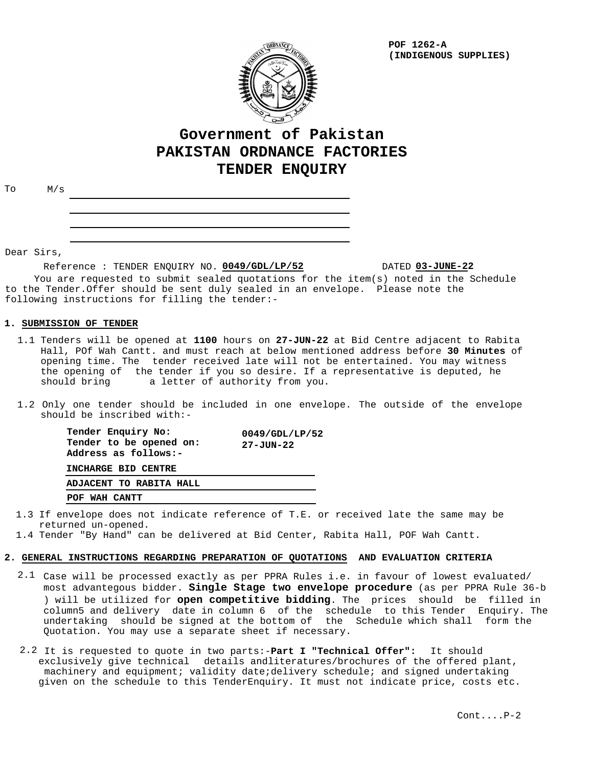

**POF 1262-A (INDIGENOUS SUPPLIES)**

# **Government of Pakistan PAKISTAN ORDNANCE FACTORIES TENDER ENQUIRY**

To M/s

Dear Sirs,

Reference : TENDER ENQUIRY NO. 0049/GDL/LP/52

**0049/GDL/LP/52 03-JUNE-22**

 You are requested to submit sealed quotations for the item(s) noted in the Schedule to the Tender.Offer should be sent duly sealed in an envelope. Please note the following instructions for filling the tender:-

## **1. SUBMISSION OF TENDER**

- 1.1 Tenders will be opened at 1100 hours on 27-JUN-22 at Bid Centre adjacent to Rabita Hall, POf Wah Cantt. and must reach at below mentioned address before **30 Minutes** of opening time. The tender received late will not be entertained. You may witness the opening of the tender if you so desire. If a representative is deputed, he should bring a letter of authority from you. a letter of authority from you.
- 1.2 Only one tender should be included in one envelope. The outside of the envelope should be inscribed with:-

| Tender Enquiry No:<br>Tender to be opened on:<br>Address as follows:- | $0049$ /GDL/LP/52<br>$27 - JUN - 22$ |
|-----------------------------------------------------------------------|--------------------------------------|
| INCHARGE BID CENTRE                                                   |                                      |
| ADJACENT TO RABITA HALL                                               |                                      |
| POF WAH CANTT                                                         |                                      |

- 1.3 If envelope does not indicate reference of T.E. or received late the same may be returned un-opened.
- 1.4 Tender "By Hand" can be delivered at Bid Center, Rabita Hall, POF Wah Cantt.

### **2. GENERAL INSTRUCTIONS REGARDING PREPARATION OF QUOTATIONS AND EVALUATION CRITERIA**

- $2.1$  Case will be processed exactly as per PPRA Rules i.e. in favour of lowest evaluated/ most advantegous bidder. **Single Stage two envelope procedure** (as per PPRA Rule 36-b ) will be utilized for **open competitive bidding**. The prices should be filled in column5 and delivery date in column 6 of the schedule to this Tender Enquiry. The undertaking should be signed at the bottom of the Schedule which shall form the Quotation. You may use a separate sheet if necessary.
- It is requested to quote in two parts:-**Part I "Technical Offer":** It should 2.2 exclusively give technical details andliteratures/brochures of the offered plant, machinery and equipment; validity date;delivery schedule; and signed undertaking given on the schedule to this TenderEnquiry. It must not indicate price, costs etc.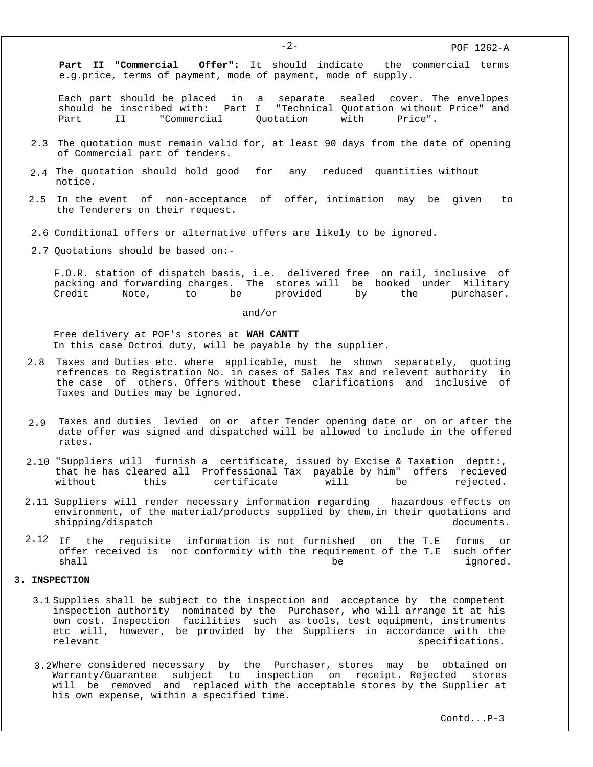**Part II "Commercial Offer":** It should indicate the commercial terms e.g.price, terms of payment, mode of payment, mode of supply.

Each part should be placed in a separate sealed cover. The envelopes should be inscribed with: Part I "Technical Quotation without Price" and Part II "Commercial Quotation with Price".

- 2.3 The quotation must remain valid for, at least 90 days from the date of opening of Commercial part of tenders.
- 2.4 The quotation should hold good for any reduced quantities without notice.
- 2.5 In the event of non-acceptance of offer, intimation may be given to the Tenderers on their request.
- 2.6 Conditional offers or alternative offers are likely to be ignored.
- 2.7 Quotations should be based on:-

F.O.R. station of dispatch basis, i.e. delivered free on rail, inclusive of packing and forwarding charges. The stores will be booked under Military Credit Note, to be provided by the purchaser.

and/or

Free delivery at POF's stores at **WAH CANTT** In this case Octroi duty, will be payable by the supplier.

- 2.8 Taxes and Duties etc. where applicable, must be shown separately, quoting refrences to Registration No. in cases of Sales Tax and relevent authority in the case of others. Offers without these clarifications and inclusive of Taxes and Duties may be ignored.
- Taxes and duties levied on or after Tender opening date or on or after the 2.9 date offer was signed and dispatched will be allowed to include in the offered rates.
- 2.10 "Suppliers will furnish a certificate, issued by Excise & Taxation deptt:, that he has cleared all Proffessional Tax payable by him" offers recieved without this certificate will be rejected.
- 2.11 Suppliers will render necessary information regarding hazardous effects on environment, of the material/products supplied by them,in their quotations and shipping/dispatch documents.
- the requisite information is not furnished on the T.E forms or offer received is not conformity with the requirement of the T.E such offer shall be ignored.  $2.12$  If

#### **3. INSPECTION**

- 3.1 Supplies shall be subject to the inspection and acceptance by the competent inspection authority nominated by the Purchaser, who will arrange it at his own cost. Inspection facilities such as tools, test equipment, instruments etc will, however, be provided by the Suppliers in accordance with the relevant specifications.
- 3.2Where considered necessary by the Purchaser, stores may be obtained on Warranty/Guarantee subject to inspection on receipt. Rejected stores will be removed and replaced with the acceptable stores by the Supplier at his own expense, within a specified time.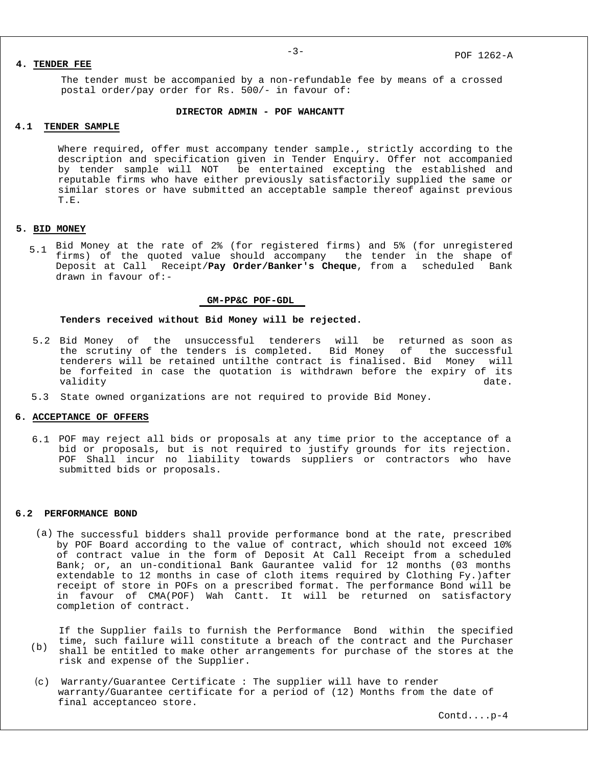## **4. TENDER FEE**

The tender must be accompanied by a non-refundable fee by means of a crossed postal order/pay order for Rs. 500/- in favour of:

#### **DIRECTOR ADMIN - POF WAHCANTT**

## **4.1 TENDER SAMPLE**

Where required, offer must accompany tender sample., strictly according to the description and specification given in Tender Enquiry. Offer not accompanied by tender sample will NOT be entertained excepting the established and reputable firms who have either previously satisfactorily supplied the same or similar stores or have submitted an acceptable sample thereof against previous T.E.

# **5. BID MONEY**

Bid Money at the rate of 2% (for registered firms) and 5% (for unregistered 5.1 firms) of the quoted value should accompany the tender in the shape of Deposit at Call Receipt/**Pay Order/Banker's Cheque**, from a scheduled Bank drawn in favour of:-

#### **GM-PP&C POF-GDL**

#### **Tenders received without Bid Money will be rejected.**

- Bid Money of the unsuccessful tenderers will be returned as soon as 5.2 the scrutiny of the tenders is completed. Bid Money of the successful tenderers will be retained untilthe contract is finalised. Bid Money will be forfeited in case the quotation is withdrawn before the expiry of its validity date. The contract of the contract of the contract of the contract of the contract of the contract of
- 5.3 State owned organizations are not required to provide Bid Money.

## **6. ACCEPTANCE OF OFFERS**

6.1 POF may reject all bids or proposals at any time prior to the acceptance of a bid or proposals, but is not required to justify grounds for its rejection. POF Shall incur no liability towards suppliers or contractors who have submitted bids or proposals.

#### **6.2 PERFORMANCE BOND**

(a) The successful bidders shall provide performance bond at the rate, prescribed by POF Board according to the value of contract, which should not exceed 10% of contract value in the form of Deposit At Call Receipt from a scheduled Bank; or, an un-conditional Bank Gaurantee valid for 12 months (03 months extendable to 12 months in case of cloth items required by Clothing Fy.)after receipt of store in POFs on a prescribed format. The performance Bond will be in favour of CMA(POF) Wah Cantt. It will be returned on satisfactory completion of contract.

If the Supplier fails to furnish the Performance Bond within the specified time, such failure will constitute a breach of the contract and the Purchaser shall be entitled to make other arrangements for purchase of the stores at the risk and expense of the Supplier.  $(h)$ 

(c) Warranty/Guarantee Certificate : The supplier will have to render warranty/Guarantee certificate for a period of (12) Months from the date of final acceptanceo store.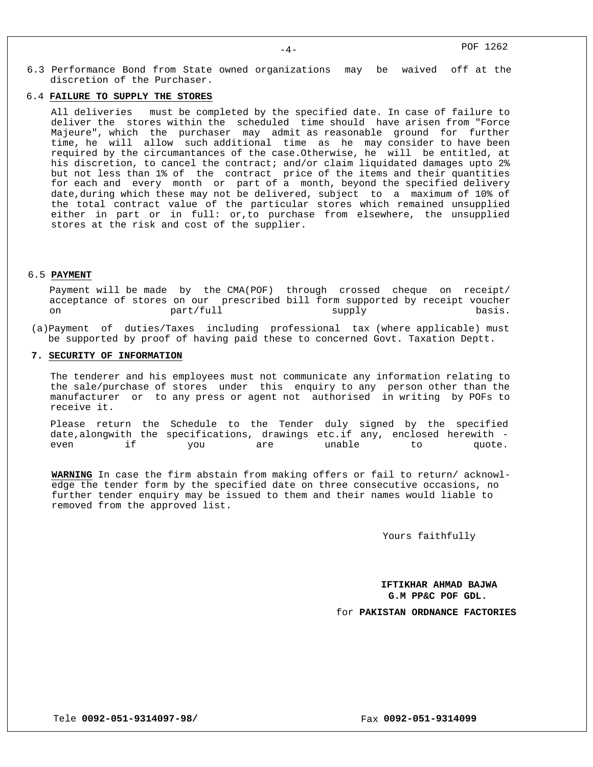6.3 Performance Bond from State owned organizations may be waived off at the discretion of the Purchaser.

# 6.4 **FAILURE TO SUPPLY THE STORES**

All deliveries must be completed by the specified date. In case of failure to deliver the stores within the scheduled time should have arisen from "Force Majeure", which the purchaser may admit as reasonable ground for further time, he will allow such additional time as he may consider to have been required by the circumantances of the case.Otherwise, he will be entitled, at his discretion, to cancel the contract; and/or claim liquidated damages upto 2% but not less than 1% of the contract price of the items and their quantities for each and every month or part of a month, beyond the specified delivery date,during which these may not be delivered, subject to a maximum of 10% of the total contract value of the particular stores which remained unsupplied either in part or in full: or,to purchase from elsewhere, the unsupplied stores at the risk and cost of the supplier.

#### 6.5 **PAYMENT**

Payment will be made by the CMA(POF) through crossed cheque on receipt/ acceptance of stores on our prescribed bill form supported by receipt voucher on part/full supply basis.

 (a)Payment of duties/Taxes including professional tax (where applicable) must be supported by proof of having paid these to concerned Govt. Taxation Deptt.

## **7. SECURITY OF INFORMATION**

The tenderer and his employees must not communicate any information relating to the sale/purchase of stores under this enquiry to any person other than the manufacturer or to any press or agent not authorised in writing by POFs to receive it.

Please return the Schedule to the Tender duly signed by the specified date,alongwith the specifications, drawings etc.if any, enclosed herewith even if you are unable to quote.

**WARNING** In case the firm abstain from making offers or fail to return/ acknowledge the tender form by the specified date on three consecutive occasions, no further tender enquiry may be issued to them and their names would liable to removed from the approved list.

Yours faithfully

**IFTIKHAR AHMAD BAJWA G.M PP&C POF GDL.**

for **PAKISTAN ORDNANCE FACTORIES**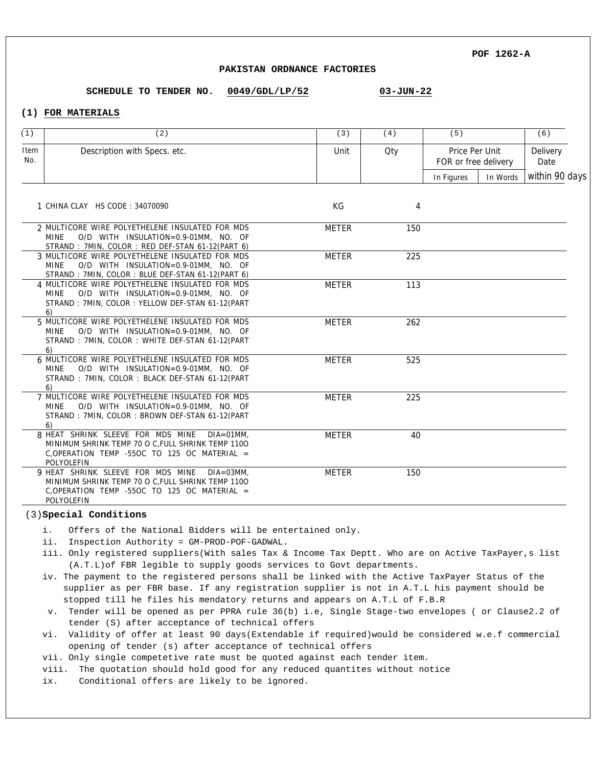### **PAKISTAN ORDNANCE FACTORIES**

**0049/GDL/LP/52 03-JUN-22 SCHEDULE TO TENDER NO.**

# **(1) FOR MATERIALS**

| (1)         | (2)                                                                                                                                                                    | (3)          | (4) | (5)                                    |          | (6)              |
|-------------|------------------------------------------------------------------------------------------------------------------------------------------------------------------------|--------------|-----|----------------------------------------|----------|------------------|
| Item<br>No. | Description with Specs. etc.                                                                                                                                           | Unit         | Qty | Price Per Unit<br>FOR or free delivery |          | Delivery<br>Date |
|             |                                                                                                                                                                        |              |     | In Figures                             | In Words | within 90 days   |
|             | 1 CHINA CLAY HS CODE: 34070090                                                                                                                                         | KG           | 4   |                                        |          |                  |
|             | 2 MULTICORE WIRE POLYETHELENE INSULATED FOR MDS<br>O/D WITH INSULATION=0.9-01MM, NO. OF<br><b>MINE</b><br>STRAND: 7MIN, COLOR: RED DEF-STAN 61-12(PART 6)              | <b>METER</b> | 150 |                                        |          |                  |
|             | 3 MULTICORE WIRE POLYETHELENE INSULATED FOR MDS<br>O/D WITH INSULATION=0.9-01MM, NO. OF<br><b>MINE</b><br>STRAND: 7MIN, COLOR: BLUE DEF-STAN 61-12(PART 6)             | <b>METER</b> | 225 |                                        |          |                  |
|             | 4 MULTICORE WIRE POLYETHELENE INSULATED FOR MDS<br>O/D WITH INSULATION=0.9-01MM, NO. OF<br>MINE<br>STRAND: 7MIN, COLOR: YELLOW DEF-STAN 61-12(PART<br>6)               | <b>METER</b> | 113 |                                        |          |                  |
|             | 5 MULTICORE WIRE POLYETHELENE INSULATED FOR MDS<br>O/D WITH INSULATION=0.9-01MM, NO. OF<br>MINE<br>STRAND: 7MIN, COLOR: WHITE DEF-STAN 61-12(PART<br>6)                | <b>METER</b> | 262 |                                        |          |                  |
|             | 6 MULTICORE WIRE POLYETHELENE INSULATED FOR MDS<br>O/D WITH INSULATION=0.9-01MM, NO. OF<br>MINE<br>STRAND: 7MIN, COLOR: BLACK DEF-STAN 61-12(PART<br>6)                | METER        | 525 |                                        |          |                  |
|             | 7 MULTICORE WIRE POLYETHELENE INSULATED FOR MDS<br>O/D WITH INSULATION=0.9-01MM, NO. OF<br>MINE<br>STRAND: 7MIN, COLOR: BROWN DEF-STAN 61-12(PART<br>6)                | <b>METER</b> | 225 |                                        |          |                  |
|             | 8 HEAT SHRINK SLEEVE FOR MDS MINE<br>$DIA = 01MM$ .<br>MINIMUM SHRINK TEMP 70 O C.FULL SHRINK TEMP 1100<br>C, OPERATION TEMP -550C TO 125 OC MATERIAL =<br>POLYOLEFIN  | <b>METER</b> | 40  |                                        |          |                  |
|             | 9 HEAT SHRINK SLEEVE FOR MDS MINE<br>$DIA = 03MM$ .<br>MINIMUM SHRINK TEMP 70 O C, FULL SHRINK TEMP 1100<br>C, OPERATION TEMP -55OC TO 125 OC MATERIAL =<br>POLYOLEFIN | <b>METER</b> | 150 |                                        |          |                  |

#### (3)**Special Conditions**

- i. Offers of the National Bidders will be entertained only.
- ii. Inspection Authority = GM-PROD-POF-GADWAL.
- iii. Only registered suppliers(With sales Tax & Income Tax Deptt. Who are on Active TaxPayer,s list (A.T.L)of FBR legible to supply goods services to Govt departments.
- iv. The payment to the registered persons shall be linked with the Active TaxPayer Status of the supplier as per FBR base. If any registration supplier is not in A.T.L his payment should be stopped till he files his mendatory returns and appears on A.T.L of F.B.R
- v. Tender will be opened as per PPRA rule 36(b) i.e, Single Stage-two envelopes ( or Clause2.2 of tender (S) after acceptance of technical offers
- vi. Validity of offer at least 90 days(Extendable if required)would be considered w.e.f commercial opening of tender (s) after acceptance of technical offers
- vii. Only single competetive rate must be quoted against each tender item.
- viii. The quotation should hold good for any reduced quantites without notice
- ix. Conditional offers are likely to be ignored.